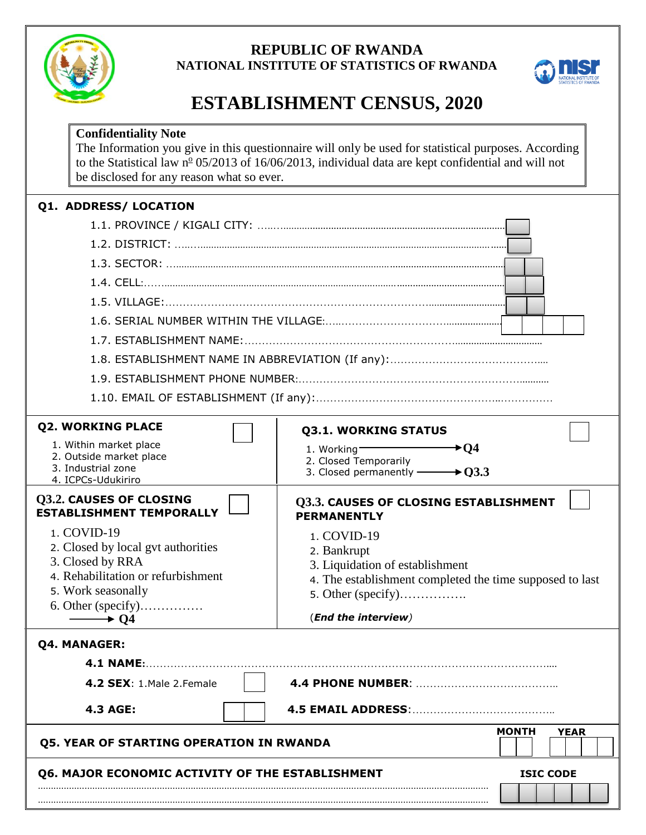

# **REPUBLIC OF RWANDA NATIONAL INSTITUTE OF STATISTICS OF RWANDA**



# **ESTABLISHMENT CENSUS, 2020**

| <b>Confidentiality Note</b><br>be disclosed for any reason what so ever.                                                                                                                                     | The Information you give in this questionnaire will only be used for statistical purposes. According<br>to the Statistical law $n^{\circ}$ 05/2013 of 16/06/2013, individual data are kept confidential and will not |
|--------------------------------------------------------------------------------------------------------------------------------------------------------------------------------------------------------------|----------------------------------------------------------------------------------------------------------------------------------------------------------------------------------------------------------------------|
| Q1. ADDRESS/ LOCATION                                                                                                                                                                                        |                                                                                                                                                                                                                      |
| <b>Q2. WORKING PLACE</b><br>1. Within market place<br>2. Outside market place<br>3. Industrial zone<br>4. ICPCs-Udukiriro                                                                                    | <b>Q3.1. WORKING STATUS</b><br>$\div 04$<br>1. Working<br>2. Closed Temporarily<br>$\rightarrow$ 03.3<br>3. Closed permanently $\textcolor{red}{\mathbf{-}}$                                                         |
| Q3.2. CAUSES OF CLOSING<br><b>ESTABLISHMENT TEMPORALLY</b><br>1. COVID-19<br>2. Closed by local gvt authorities<br>3. Closed by RRA<br>4. Rehabilitation or refurbishment<br>5. Work seasonally<br>$\div 04$ | Q3.3. CAUSES OF CLOSING ESTABLISHMENT<br><b>PERMANENTLY</b><br>1. COVID-19<br>2. Bankrupt<br>3. Liquidation of establishment<br>4. The establishment completed the time supposed to last<br>(End the interview)      |
| Q4. MANAGER:<br><b>4.1 NAME:.</b><br><b>4.2 SEX:</b> 1. Male 2. Female<br><b>4.3 AGE:</b>                                                                                                                    | 4.4 PHONE NUMBER:<br><b>4.5 EMAIL ADDRESS: </b>                                                                                                                                                                      |
| <b>Q5. YEAR OF STARTING OPERATION IN RWANDA</b><br>Q6. MAJOR ECONOMIC ACTIVITY OF THE ESTABLISHMENT                                                                                                          | <b>MONTH</b><br><b>YEAR</b><br><b>ISIC CODE</b>                                                                                                                                                                      |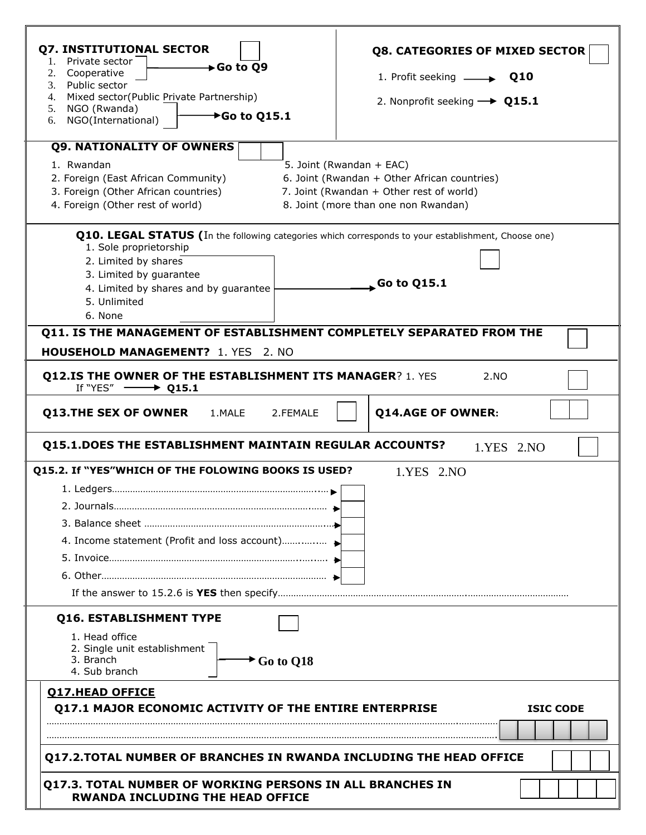| 2. Cooperative<br>1. Profit seeking $\longrightarrow Q10$<br>3. Public sector<br>4. Mixed sector(Public Private Partnership)<br>2. Nonprofit seeking $\rightarrow$ Q15.1<br>5. NGO (Rwanda)<br>$\rightarrow$ Go to Q15.1<br>6. NGO(International)<br><b>Q9. NATIONALITY OF OWNERS</b><br>1. Rwandan<br>5. Joint (Rwandan + EAC)<br>6. Joint (Rwandan + Other African countries)<br>2. Foreign (East African Community)<br>3. Foreign (Other African countries)<br>7. Joint (Rwandan + Other rest of world)<br>4. Foreign (Other rest of world)<br>8. Joint (more than one non Rwandan)<br><b>Q10. LEGAL STATUS</b> (In the following categories which corresponds to your establishment, Choose one)<br>1. Sole proprietorship<br>2. Limited by shares<br>3. Limited by guarantee<br>$\sim$ Go to Q15.1<br>4. Limited by shares and by guarantee<br>5. Unlimited<br>6. None<br>Q11. IS THE MANAGEMENT OF ESTABLISHMENT COMPLETELY SEPARATED FROM THE<br><b>HOUSEHOLD MANAGEMENT?</b> 1. YES 2. NO<br><b>Q12.IS THE OWNER OF THE ESTABLISHMENT ITS MANAGER? 1. YES</b><br>2.NO<br>If "YES" $\longrightarrow$ Q15.1<br><b>Q14.AGE OF OWNER:</b><br>1.MALE<br>2.FEMALE<br><b>Q15.1.DOES THE ESTABLISHMENT MAINTAIN REGULAR ACCOUNTS?</b><br>1.YES 2.NO<br>Q15.2. If "YES"WHICH OF THE FOLOWING BOOKS IS USED?<br>1.YES 2.NO<br>Q16. ESTABLISHMENT TYPE<br>1. Head office<br>2. Single unit establishment<br>3. Branch<br>$\rightarrow$ Go to Q18<br>4. Sub branch<br><b>Q17.HEAD OFFICE</b><br><b>Q17.1 MAJOR ECONOMIC ACTIVITY OF THE ENTIRE ENTERPRISE</b><br><b>Q17.2.TOTAL NUMBER OF BRANCHES IN RWANDA INCLUDING THE HEAD OFFICE</b> | <b>Q7. INSTITUTIONAL SECTOR</b><br>Private sector<br>1.                                                     | <b>Q8. CATEGORIES OF MIXED SECTOR</b> |
|----------------------------------------------------------------------------------------------------------------------------------------------------------------------------------------------------------------------------------------------------------------------------------------------------------------------------------------------------------------------------------------------------------------------------------------------------------------------------------------------------------------------------------------------------------------------------------------------------------------------------------------------------------------------------------------------------------------------------------------------------------------------------------------------------------------------------------------------------------------------------------------------------------------------------------------------------------------------------------------------------------------------------------------------------------------------------------------------------------------------------------------------------------------------------------------------------------------------------------------------------------------------------------------------------------------------------------------------------------------------------------------------------------------------------------------------------------------------------------------------------------------------------------------------------------------------------------------------------------------------------------------|-------------------------------------------------------------------------------------------------------------|---------------------------------------|
|                                                                                                                                                                                                                                                                                                                                                                                                                                                                                                                                                                                                                                                                                                                                                                                                                                                                                                                                                                                                                                                                                                                                                                                                                                                                                                                                                                                                                                                                                                                                                                                                                                        | $\longrightarrow$ Go to Q9                                                                                  |                                       |
|                                                                                                                                                                                                                                                                                                                                                                                                                                                                                                                                                                                                                                                                                                                                                                                                                                                                                                                                                                                                                                                                                                                                                                                                                                                                                                                                                                                                                                                                                                                                                                                                                                        |                                                                                                             |                                       |
|                                                                                                                                                                                                                                                                                                                                                                                                                                                                                                                                                                                                                                                                                                                                                                                                                                                                                                                                                                                                                                                                                                                                                                                                                                                                                                                                                                                                                                                                                                                                                                                                                                        |                                                                                                             |                                       |
|                                                                                                                                                                                                                                                                                                                                                                                                                                                                                                                                                                                                                                                                                                                                                                                                                                                                                                                                                                                                                                                                                                                                                                                                                                                                                                                                                                                                                                                                                                                                                                                                                                        |                                                                                                             |                                       |
|                                                                                                                                                                                                                                                                                                                                                                                                                                                                                                                                                                                                                                                                                                                                                                                                                                                                                                                                                                                                                                                                                                                                                                                                                                                                                                                                                                                                                                                                                                                                                                                                                                        |                                                                                                             |                                       |
|                                                                                                                                                                                                                                                                                                                                                                                                                                                                                                                                                                                                                                                                                                                                                                                                                                                                                                                                                                                                                                                                                                                                                                                                                                                                                                                                                                                                                                                                                                                                                                                                                                        |                                                                                                             |                                       |
|                                                                                                                                                                                                                                                                                                                                                                                                                                                                                                                                                                                                                                                                                                                                                                                                                                                                                                                                                                                                                                                                                                                                                                                                                                                                                                                                                                                                                                                                                                                                                                                                                                        |                                                                                                             |                                       |
|                                                                                                                                                                                                                                                                                                                                                                                                                                                                                                                                                                                                                                                                                                                                                                                                                                                                                                                                                                                                                                                                                                                                                                                                                                                                                                                                                                                                                                                                                                                                                                                                                                        |                                                                                                             |                                       |
|                                                                                                                                                                                                                                                                                                                                                                                                                                                                                                                                                                                                                                                                                                                                                                                                                                                                                                                                                                                                                                                                                                                                                                                                                                                                                                                                                                                                                                                                                                                                                                                                                                        |                                                                                                             |                                       |
|                                                                                                                                                                                                                                                                                                                                                                                                                                                                                                                                                                                                                                                                                                                                                                                                                                                                                                                                                                                                                                                                                                                                                                                                                                                                                                                                                                                                                                                                                                                                                                                                                                        |                                                                                                             |                                       |
|                                                                                                                                                                                                                                                                                                                                                                                                                                                                                                                                                                                                                                                                                                                                                                                                                                                                                                                                                                                                                                                                                                                                                                                                                                                                                                                                                                                                                                                                                                                                                                                                                                        |                                                                                                             |                                       |
|                                                                                                                                                                                                                                                                                                                                                                                                                                                                                                                                                                                                                                                                                                                                                                                                                                                                                                                                                                                                                                                                                                                                                                                                                                                                                                                                                                                                                                                                                                                                                                                                                                        |                                                                                                             |                                       |
|                                                                                                                                                                                                                                                                                                                                                                                                                                                                                                                                                                                                                                                                                                                                                                                                                                                                                                                                                                                                                                                                                                                                                                                                                                                                                                                                                                                                                                                                                                                                                                                                                                        |                                                                                                             |                                       |
|                                                                                                                                                                                                                                                                                                                                                                                                                                                                                                                                                                                                                                                                                                                                                                                                                                                                                                                                                                                                                                                                                                                                                                                                                                                                                                                                                                                                                                                                                                                                                                                                                                        |                                                                                                             |                                       |
|                                                                                                                                                                                                                                                                                                                                                                                                                                                                                                                                                                                                                                                                                                                                                                                                                                                                                                                                                                                                                                                                                                                                                                                                                                                                                                                                                                                                                                                                                                                                                                                                                                        |                                                                                                             |                                       |
|                                                                                                                                                                                                                                                                                                                                                                                                                                                                                                                                                                                                                                                                                                                                                                                                                                                                                                                                                                                                                                                                                                                                                                                                                                                                                                                                                                                                                                                                                                                                                                                                                                        |                                                                                                             |                                       |
|                                                                                                                                                                                                                                                                                                                                                                                                                                                                                                                                                                                                                                                                                                                                                                                                                                                                                                                                                                                                                                                                                                                                                                                                                                                                                                                                                                                                                                                                                                                                                                                                                                        |                                                                                                             |                                       |
|                                                                                                                                                                                                                                                                                                                                                                                                                                                                                                                                                                                                                                                                                                                                                                                                                                                                                                                                                                                                                                                                                                                                                                                                                                                                                                                                                                                                                                                                                                                                                                                                                                        |                                                                                                             |                                       |
|                                                                                                                                                                                                                                                                                                                                                                                                                                                                                                                                                                                                                                                                                                                                                                                                                                                                                                                                                                                                                                                                                                                                                                                                                                                                                                                                                                                                                                                                                                                                                                                                                                        |                                                                                                             |                                       |
|                                                                                                                                                                                                                                                                                                                                                                                                                                                                                                                                                                                                                                                                                                                                                                                                                                                                                                                                                                                                                                                                                                                                                                                                                                                                                                                                                                                                                                                                                                                                                                                                                                        |                                                                                                             |                                       |
|                                                                                                                                                                                                                                                                                                                                                                                                                                                                                                                                                                                                                                                                                                                                                                                                                                                                                                                                                                                                                                                                                                                                                                                                                                                                                                                                                                                                                                                                                                                                                                                                                                        |                                                                                                             |                                       |
|                                                                                                                                                                                                                                                                                                                                                                                                                                                                                                                                                                                                                                                                                                                                                                                                                                                                                                                                                                                                                                                                                                                                                                                                                                                                                                                                                                                                                                                                                                                                                                                                                                        |                                                                                                             |                                       |
|                                                                                                                                                                                                                                                                                                                                                                                                                                                                                                                                                                                                                                                                                                                                                                                                                                                                                                                                                                                                                                                                                                                                                                                                                                                                                                                                                                                                                                                                                                                                                                                                                                        |                                                                                                             |                                       |
|                                                                                                                                                                                                                                                                                                                                                                                                                                                                                                                                                                                                                                                                                                                                                                                                                                                                                                                                                                                                                                                                                                                                                                                                                                                                                                                                                                                                                                                                                                                                                                                                                                        |                                                                                                             |                                       |
|                                                                                                                                                                                                                                                                                                                                                                                                                                                                                                                                                                                                                                                                                                                                                                                                                                                                                                                                                                                                                                                                                                                                                                                                                                                                                                                                                                                                                                                                                                                                                                                                                                        |                                                                                                             |                                       |
|                                                                                                                                                                                                                                                                                                                                                                                                                                                                                                                                                                                                                                                                                                                                                                                                                                                                                                                                                                                                                                                                                                                                                                                                                                                                                                                                                                                                                                                                                                                                                                                                                                        |                                                                                                             |                                       |
|                                                                                                                                                                                                                                                                                                                                                                                                                                                                                                                                                                                                                                                                                                                                                                                                                                                                                                                                                                                                                                                                                                                                                                                                                                                                                                                                                                                                                                                                                                                                                                                                                                        |                                                                                                             |                                       |
|                                                                                                                                                                                                                                                                                                                                                                                                                                                                                                                                                                                                                                                                                                                                                                                                                                                                                                                                                                                                                                                                                                                                                                                                                                                                                                                                                                                                                                                                                                                                                                                                                                        |                                                                                                             |                                       |
|                                                                                                                                                                                                                                                                                                                                                                                                                                                                                                                                                                                                                                                                                                                                                                                                                                                                                                                                                                                                                                                                                                                                                                                                                                                                                                                                                                                                                                                                                                                                                                                                                                        |                                                                                                             |                                       |
|                                                                                                                                                                                                                                                                                                                                                                                                                                                                                                                                                                                                                                                                                                                                                                                                                                                                                                                                                                                                                                                                                                                                                                                                                                                                                                                                                                                                                                                                                                                                                                                                                                        |                                                                                                             |                                       |
|                                                                                                                                                                                                                                                                                                                                                                                                                                                                                                                                                                                                                                                                                                                                                                                                                                                                                                                                                                                                                                                                                                                                                                                                                                                                                                                                                                                                                                                                                                                                                                                                                                        |                                                                                                             |                                       |
|                                                                                                                                                                                                                                                                                                                                                                                                                                                                                                                                                                                                                                                                                                                                                                                                                                                                                                                                                                                                                                                                                                                                                                                                                                                                                                                                                                                                                                                                                                                                                                                                                                        |                                                                                                             |                                       |
|                                                                                                                                                                                                                                                                                                                                                                                                                                                                                                                                                                                                                                                                                                                                                                                                                                                                                                                                                                                                                                                                                                                                                                                                                                                                                                                                                                                                                                                                                                                                                                                                                                        | <b>Q13.THE SEX OF OWNER</b>                                                                                 |                                       |
|                                                                                                                                                                                                                                                                                                                                                                                                                                                                                                                                                                                                                                                                                                                                                                                                                                                                                                                                                                                                                                                                                                                                                                                                                                                                                                                                                                                                                                                                                                                                                                                                                                        |                                                                                                             |                                       |
|                                                                                                                                                                                                                                                                                                                                                                                                                                                                                                                                                                                                                                                                                                                                                                                                                                                                                                                                                                                                                                                                                                                                                                                                                                                                                                                                                                                                                                                                                                                                                                                                                                        |                                                                                                             |                                       |
|                                                                                                                                                                                                                                                                                                                                                                                                                                                                                                                                                                                                                                                                                                                                                                                                                                                                                                                                                                                                                                                                                                                                                                                                                                                                                                                                                                                                                                                                                                                                                                                                                                        |                                                                                                             |                                       |
|                                                                                                                                                                                                                                                                                                                                                                                                                                                                                                                                                                                                                                                                                                                                                                                                                                                                                                                                                                                                                                                                                                                                                                                                                                                                                                                                                                                                                                                                                                                                                                                                                                        |                                                                                                             | <b>ISIC CODE</b>                      |
|                                                                                                                                                                                                                                                                                                                                                                                                                                                                                                                                                                                                                                                                                                                                                                                                                                                                                                                                                                                                                                                                                                                                                                                                                                                                                                                                                                                                                                                                                                                                                                                                                                        |                                                                                                             |                                       |
|                                                                                                                                                                                                                                                                                                                                                                                                                                                                                                                                                                                                                                                                                                                                                                                                                                                                                                                                                                                                                                                                                                                                                                                                                                                                                                                                                                                                                                                                                                                                                                                                                                        |                                                                                                             |                                       |
|                                                                                                                                                                                                                                                                                                                                                                                                                                                                                                                                                                                                                                                                                                                                                                                                                                                                                                                                                                                                                                                                                                                                                                                                                                                                                                                                                                                                                                                                                                                                                                                                                                        | <b>Q17.3. TOTAL NUMBER OF WORKING PERSONS IN ALL BRANCHES IN</b><br><b>RWANDA INCLUDING THE HEAD OFFICE</b> |                                       |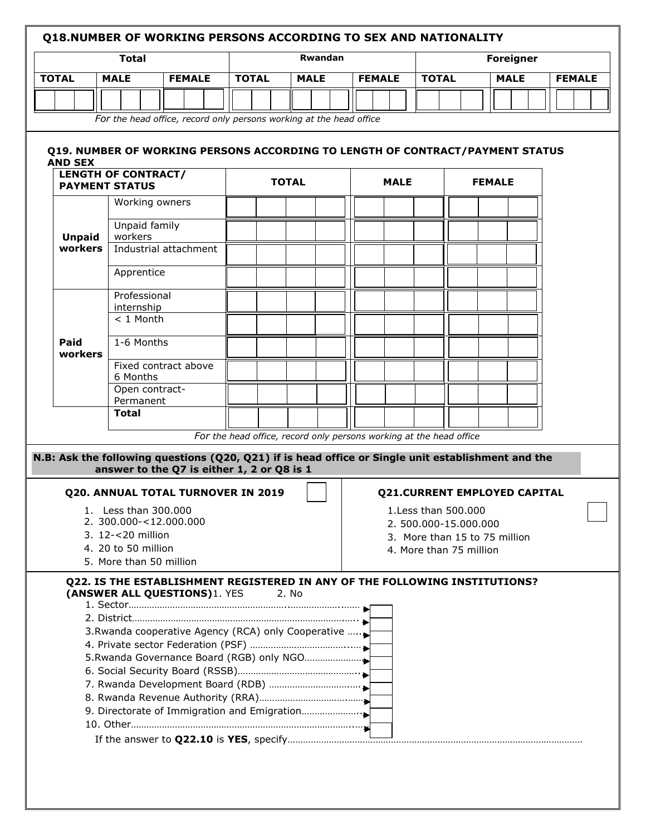#### **Q18.NUMBER OF WORKING PERSONS ACCORDING TO SEX AND NATIONALITY**

|              | Total       |               |              | <b>Rwandan</b> |               |              | <b>Foreigner</b> |               |
|--------------|-------------|---------------|--------------|----------------|---------------|--------------|------------------|---------------|
| <b>TOTAL</b> | <b>MALE</b> | <b>FEMALE</b> | <b>TOTAL</b> | <b>MALE</b>    | <b>FEMALE</b> | <b>TOTAL</b> | <b>MALE</b>      | <b>FEMALE</b> |
|              |             |               |              |                |               |              |                  |               |

*For the head office, record only persons working at the head office* 

#### **Q19. NUMBER OF WORKING PERSONS ACCORDING TO LENGTH OF CONTRACT/PAYMENT STATUS AND SEX**

| <b>PAYMENT STATUS</b> | <b>LENGTH OF CONTRACT/</b>                                          |  | <b>TOTAL</b> |  | <b>MALE</b> |  | <b>FEMALE</b> |  |
|-----------------------|---------------------------------------------------------------------|--|--------------|--|-------------|--|---------------|--|
|                       | Working owners                                                      |  |              |  |             |  |               |  |
| <b>Unpaid</b>         | Unpaid family<br>workers                                            |  |              |  |             |  |               |  |
| workers               | Industrial attachment                                               |  |              |  |             |  |               |  |
|                       | Apprentice                                                          |  |              |  |             |  |               |  |
|                       | Professional<br>internship                                          |  |              |  |             |  |               |  |
|                       | $< 1$ Month                                                         |  |              |  |             |  |               |  |
| Paid<br>workers       | 1-6 Months                                                          |  |              |  |             |  |               |  |
|                       | Fixed contract above<br>6 Months                                    |  |              |  |             |  |               |  |
|                       | Open contract-<br>Permanent                                         |  |              |  |             |  |               |  |
|                       | <b>Total</b>                                                        |  |              |  |             |  |               |  |
|                       | For the head office, record only persons working at the head office |  |              |  |             |  |               |  |

#### **N.B: Ask the following questions (Q20, Q21) if is head office or Single unit establishment and the answer to the Q7 is either 1, 2 or Q8 is 1**

#### **Q20. ANNUAL TOTAL TURNOVER IN 2019**

- 1. Less than 300.000
- 2. 300.000-<12.000.000
- 3. 12-<20 million
- 4. 20 to 50 million
- 5. More than 50 million

## **Q21.CURRENT EMPLOYED CAPITAL**

- 1.Less than 500.000
- 2. 500.000-15.000.000
- 3. More than 15 to 75 million
- 4. More than 75 million

## **Q22. IS THE ESTABLISHMENT REGISTERED IN ANY OF THE FOLLOWING INSTITUTIONS? (ANSWER ALL OUESTIONS)**1. YES 2. No

1. Sector……………………………………………………..………………..…… 2. District……………………………………………………………………….….. 3.Rwanda cooperative Agency (RCA) only Cooperative …... 4. Private sector Federation (PSF) ………………………………...… 5.Rwanda Governance Board (RGB) only NGO………………………… 6. Social Security Board (RSSB)……………………………………….. 7. Rwanda Development Board (RDB) ………………………….…. 8. Rwanda Revenue Authority (RRA)…………………………….…… 9. Directorate of Immigration and Emigration………………….. 10. Other…………………………………………………………………………..….. If the answer to **Q22.10** is **YES**, specify……………………………………………………………………………………………………